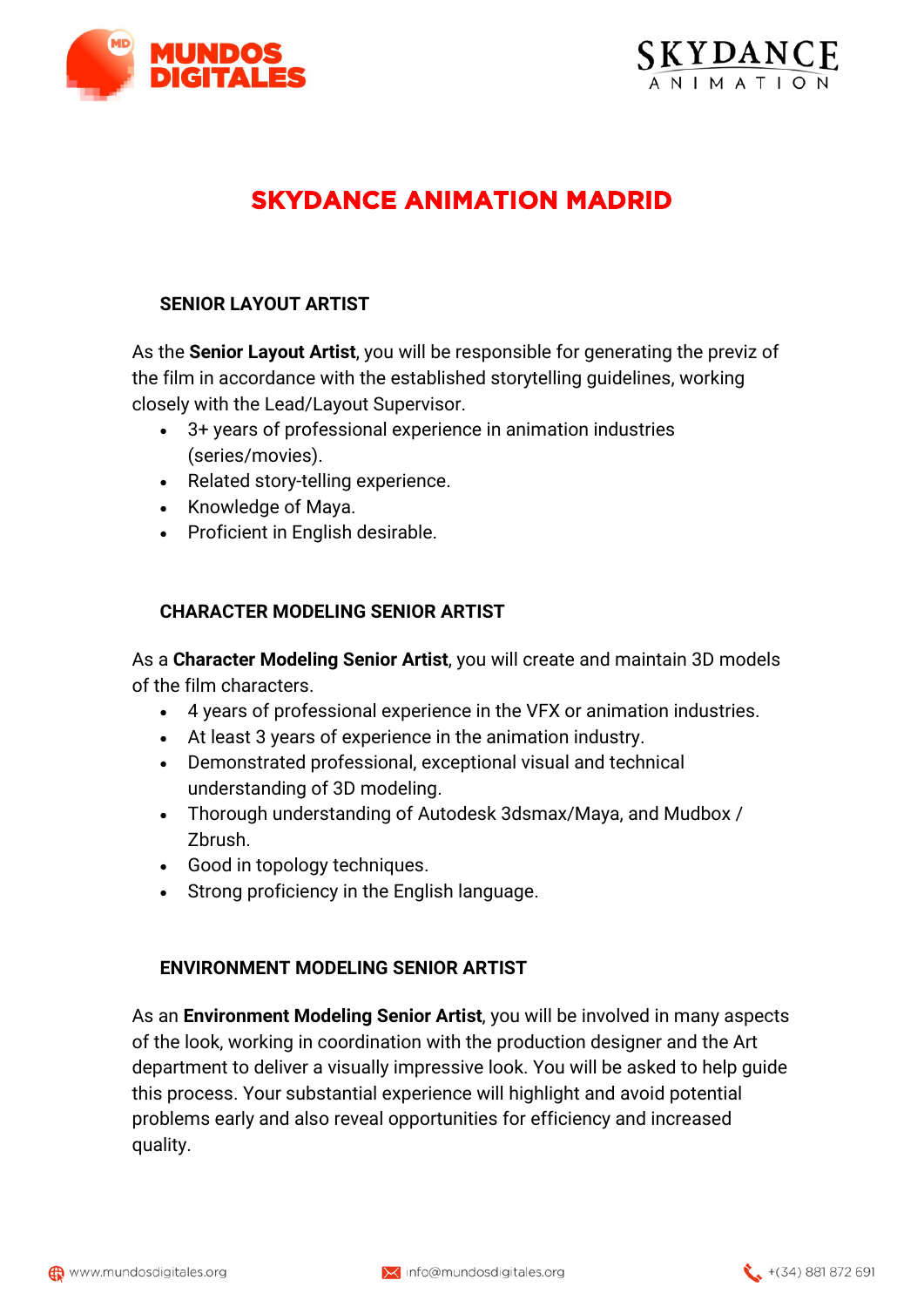



# **SKYDANCE ANIMATION MADRID**

## **SENIOR LAYOUT ARTIST**

As the **Senior Layout Artist**, you will be responsible for generating the previz of the film in accordance with the established storytelling guidelines, working closely with the Lead/Layout Supervisor.

- 3+ years of professional experience in animation industries (series/movies).
- Related story-telling experience.
- Knowledge of Maya.
- Proficient in English desirable.

#### **CHARACTER MODELING SENIOR ARTIST**

As a **Character Modeling Senior Artist**, you will create and maintain 3D models of the film characters.

- 4 years of professional experience in the VFX or animation industries.
- At least 3 years of experience in the animation industry.
- Demonstrated professional, exceptional visual and technical understanding of 3D modeling.
- Thorough understanding of Autodesk 3dsmax/Maya, and Mudbox / Zbrush.
- Good in topology techniques.
- Strong proficiency in the English language.

#### **ENVIRONMENT MODELING SENIOR ARTIST**

As an **Environment Modeling Senior Artist**, you will be involved in many aspects of the look, working in coordination with the production designer and the Art department to deliver a visually impressive look. You will be asked to help guide this process. Your substantial experience will highlight and avoid potential problems early and also reveal opportunities for efficiency and increased quality.

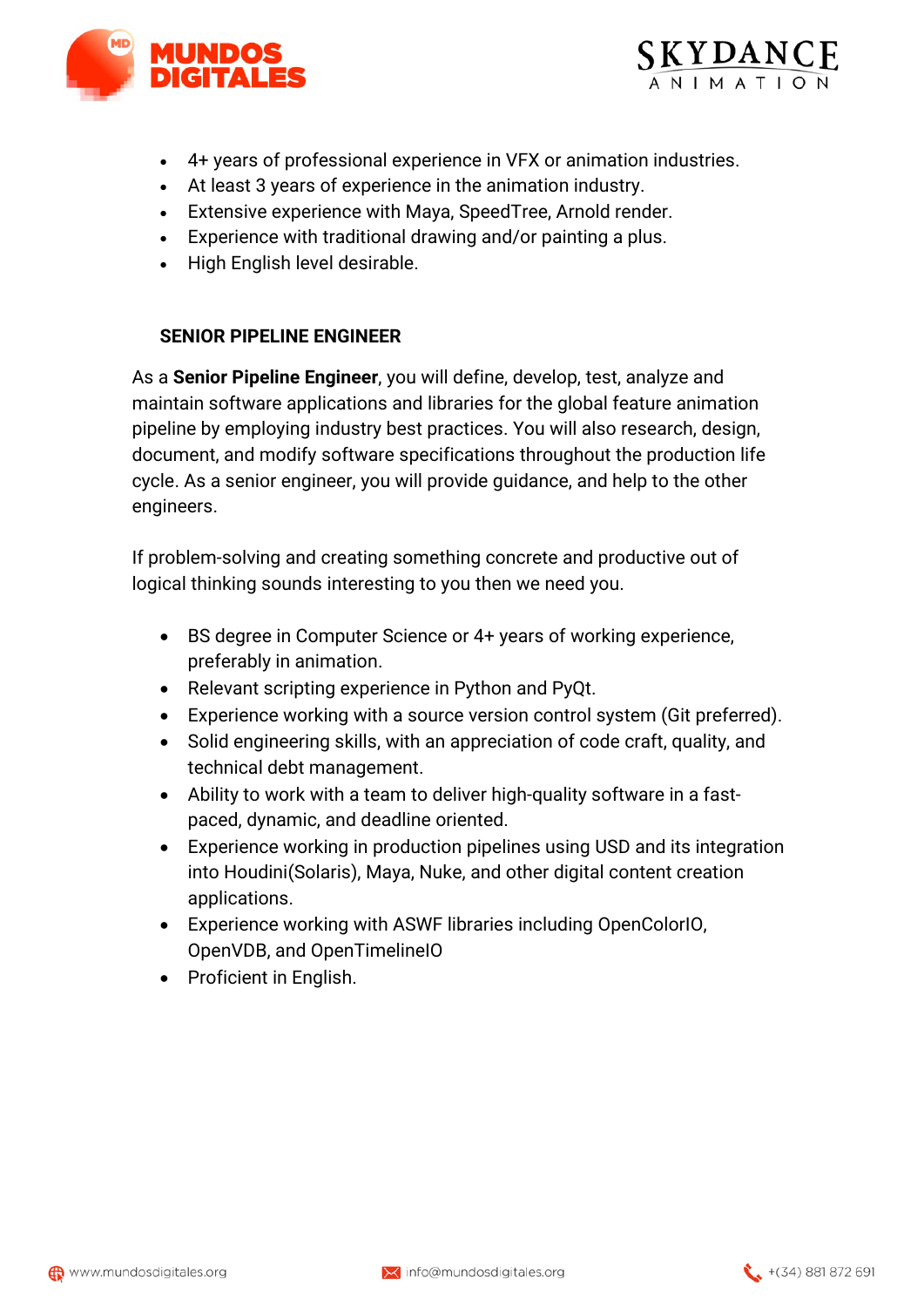



- 4+ years of professional experience in VFX or animation industries.
- At least 3 years of experience in the animation industry.
- Extensive experience with Maya, SpeedTree, Arnold render.
- Experience with traditional drawing and/or painting a plus.
- High English level desirable.

### **SENIOR PIPELINE ENGINEER**

As a **Senior Pipeline Engineer**, you will define, develop, test, analyze and maintain software applications and libraries for the global feature animation pipeline by employing industry best practices. You will also research, design, document, and modify software specifications throughout the production life cycle. As a senior engineer, you will provide guidance, and help to the other engineers.

If problem-solving and creating something concrete and productive out of logical thinking sounds interesting to you then we need you.

- BS degree in Computer Science or 4+ years of working experience, preferably in animation.
- Relevant scripting experience in Python and PyQt.
- Experience working with a source version control system (Git preferred).
- Solid engineering skills, with an appreciation of code craft, quality, and technical debt management.
- Ability to work with a team to deliver high-quality software in a fastpaced, dynamic, and deadline oriented.
- Experience working in production pipelines using USD and its integration into Houdini(Solaris), Maya, Nuke, and other digital content creation applications.
- Experience working with ASWF libraries including OpenColorIO, OpenVDB, and OpenTimelineIO
- Proficient in English.